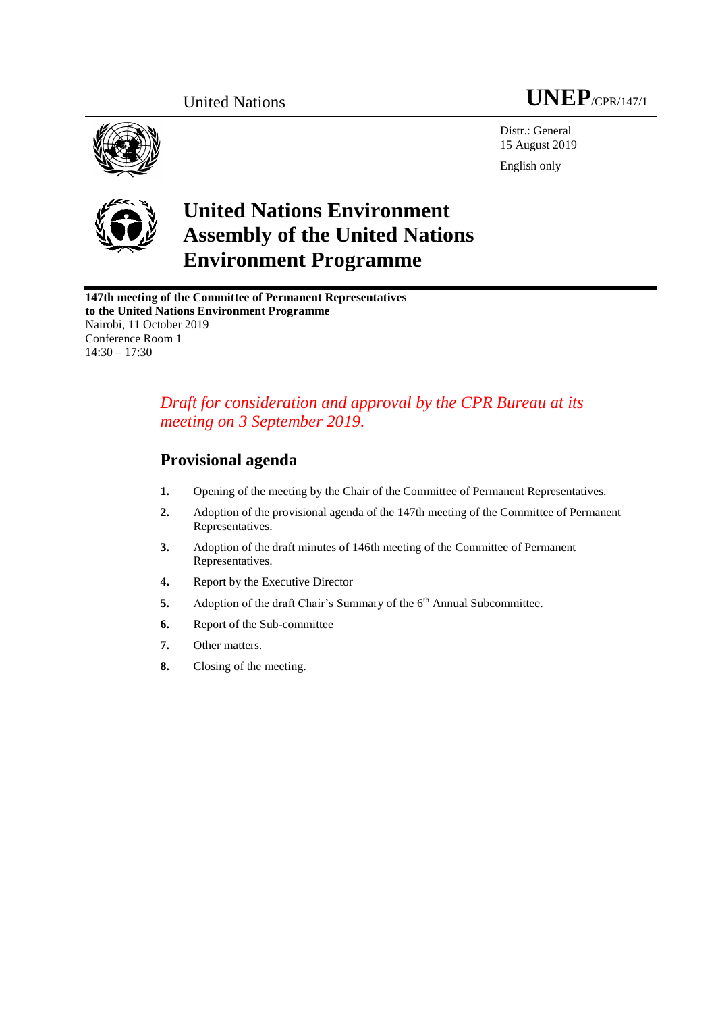



Distr.: General 15 August 2019 English only



# **United Nations Environment Assembly of the United Nations Environment Programme**

**147th meeting of the Committee of Permanent Representatives to the United Nations Environment Programme** Nairobi, 11 October 2019 Conference Room 1  $14:30 - 17:30$ 

## *Draft for consideration and approval by the CPR Bureau at its meeting on 3 September 2019.*

## **Provisional agenda**

- **1.** Opening of the meeting by the Chair of the Committee of Permanent Representatives.
- **2.** Adoption of the provisional agenda of the 147th meeting of the Committee of Permanent Representatives.
- **3.** Adoption of the draft minutes of 146th meeting of the Committee of Permanent Representatives.
- **4.** Report by the Executive Director
- **5.** Adoption of the draft Chair's Summary of the 6<sup>th</sup> Annual Subcommittee.
- **6.** Report of the Sub-committee
- **7.** Other matters.
- **8.** Closing of the meeting.